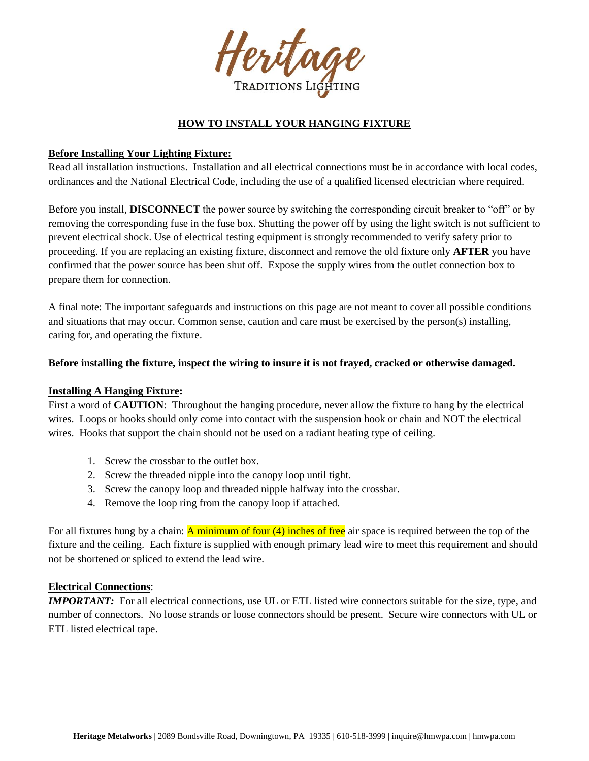

# **HOW TO INSTALL YOUR HANGING FIXTURE**

### **Before Installing Your Lighting Fixture:**

Read all installation instructions. Installation and all electrical connections must be in accordance with local codes, ordinances and the National Electrical Code, including the use of a qualified licensed electrician where required.

Before you install, **DISCONNECT** the power source by switching the corresponding circuit breaker to "off" or by removing the corresponding fuse in the fuse box. Shutting the power off by using the light switch is not sufficient to prevent electrical shock. Use of electrical testing equipment is strongly recommended to verify safety prior to proceeding. If you are replacing an existing fixture, disconnect and remove the old fixture only **AFTER** you have confirmed that the power source has been shut off. Expose the supply wires from the outlet connection box to prepare them for connection.

A final note: The important safeguards and instructions on this page are not meant to cover all possible conditions and situations that may occur. Common sense, caution and care must be exercised by the person(s) installing, caring for, and operating the fixture.

#### **Before installing the fixture, inspect the wiring to insure it is not frayed, cracked or otherwise damaged.**

#### **Installing A Hanging Fixture:**

First a word of **CAUTION**: Throughout the hanging procedure, never allow the fixture to hang by the electrical wires. Loops or hooks should only come into contact with the suspension hook or chain and NOT the electrical wires. Hooks that support the chain should not be used on a radiant heating type of ceiling.

- 1. Screw the crossbar to the outlet box.
- 2. Screw the threaded nipple into the canopy loop until tight.
- 3. Screw the canopy loop and threaded nipple halfway into the crossbar.
- 4. Remove the loop ring from the canopy loop if attached.

For all fixtures hung by a chain: A minimum of four  $(4)$  inches of free air space is required between the top of the fixture and the ceiling. Each fixture is supplied with enough primary lead wire to meet this requirement and should not be shortened or spliced to extend the lead wire.

#### **Electrical Connections**:

*IMPORTANT:* For all electrical connections, use UL or ETL listed wire connectors suitable for the size, type, and number of connectors. No loose strands or loose connectors should be present. Secure wire connectors with UL or ETL listed electrical tape.